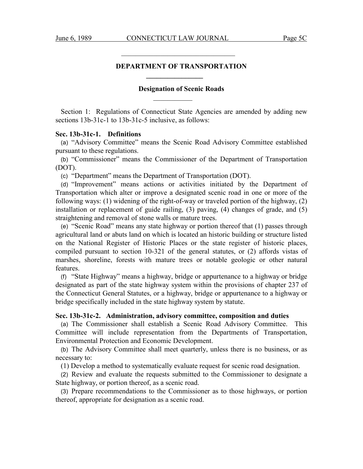$\mathcal{L}_\text{max}$  and  $\mathcal{L}_\text{max}$  and  $\mathcal{L}_\text{max}$  and  $\mathcal{L}_\text{max}$  and  $\mathcal{L}_\text{max}$ 

 **\_\_\_\_\_\_\_\_\_\_\_\_\_\_\_\_** 

 $\mathcal{L}_\text{max}$  and  $\mathcal{L}_\text{max}$  and  $\mathcal{L}_\text{max}$  and  $\mathcal{L}_\text{max}$  and  $\mathcal{L}_\text{max}$ 

## **DEPARTMENT OF TRANSPORTATION**

### **Designation of Scenic Roads**

Section 1: Regulations of Connecticut State Agencies are amended by adding new sections 13b-31c-1 to 13b-31c-5 inclusive, as follows:

## **Sec. 13b-31c-1. Definitions**

(a) "Advisory Committee" means the Scenic Road Advisory Committee established pursuant to these regulations.

(b) "Commissioner" means the Commissioner of the Department of Transportation (DOT).

(c) "Department" means the Department of Transportation (DOT).

(d) "Improvement" means actions or activities initiated by the Department of Transportation which alter or improve a designated scenic road in one or more of the following ways: (1) widening of the right-of-way or traveled portion of the highway, (2) installation or replacement of guide railing, (3) paving, (4) changes of grade, and (5) straightening and removal of stone walls or mature trees.

(e) "Scenic Road" means any state highway or portion thereof that (1) passes through agricultural land or abuts land on which is located an historic building or structure listed on the National Register of Historic Places or the state register of historic places, compiled pursuant to section 10-321 of the general statutes, or (2) affords vistas of marshes, shoreline, forests with mature trees or notable geologic or other natural **features** 

(f) "State Highway" means a highway, bridge or appurtenance to a highway or bridge designated as part of the state highway system within the provisions of chapter 237 of the Connecticut General Statutes, or a highway, bridge or appurtenance to a highway or bridge specifically included in the state highway system by statute.

## **Sec. 13b-31c-2. Administration, advisory committee, composition and duties**

(a) The Commissioner shall establish a Scenic Road Advisory Committee. This Committee will include representation from the Departments of Transportation, Environmental Protection and Economic Development.

(b) The Advisory Committee shall meet quarterly, unless there is no business, or as necessary to:

(1) Develop a method to systematically evaluate request for scenic road designation.

(2) Review and evaluate the requests submitted to the Commissioner to designate a State highway, or portion thereof, as a scenic road.

(3) Prepare recommendations to the Commissioner as to those highways, or portion thereof, appropriate for designation as a scenic road.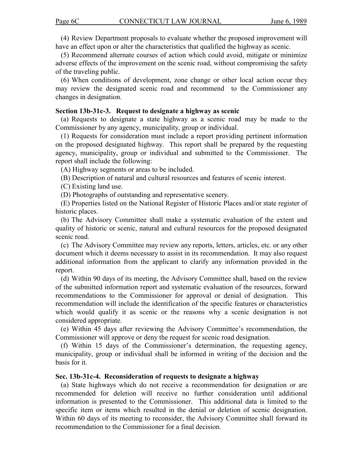(4) Review Department proposals to evaluate whether the proposed improvement will have an effect upon or alter the characteristics that qualified the highway as scenic.

(5) Recommend alternate courses of action which could avoid, mitigate or minimize adverse effects of the improvement on the scenic road, without compromising the safety of the traveling public.

(6) When conditions of development, zone change or other local action occur they may review the designated scenic road and recommend to the Commissioner any changes in designation.

### **Section 13b-31c-3. Request to designate a highway as scenic**

(a) Requests to designate a state highway as a scenic road may be made to the Commissioner by any agency, municipality, group or individual.

(1) Requests for consideration must include a report providing pertinent information on the proposed designated highway. This report shall be prepared by the requesting agency, municipality, group or individual and submitted to the Commissioner. The report shall include the following:

(A) Highway segments or areas to be included.

(B) Description of natural and cultural resources and features of scenic interest.

(C) Existing land use.

(D) Photographs of outstanding and representative scenery.

(E) Properties listed on the National Register of Historic Places and/or state register of historic places.

(b) The Advisory Committee shall make a systematic evaluation of the extent and quality of historic or scenic, natural and cultural resources for the proposed designated scenic road.

(c) The Advisory Committee may review any reports, letters, articles, etc. or any other document which it deems necessary to assist in its recommendation. It may also request additional information from the applicant to clarify any information provided in the report.

(d) Within 90 days of its meeting, the Advisory Committee shall, based on the review of the submitted information report and systematic evaluation of the resources, forward recommendations to the Commissioner for approval or denial of designation. This recommendation will include the identification of the specific features or characteristics which would qualify it as scenic or the reasons why a scenic designation is not considered appropriate.

(e) Within 45 days after reviewing the Advisory Committee's recommendation, the Commissioner will approve or deny the request for scenic road designation.

(f) Within 15 days of the Commissioner's determination, the requesting agency, municipality, group or individual shall be informed in writing of the decision and the basis for it.

### **Sec. 13b-31c-4. Reconsideration of requests to designate a highway**

(a) State highways which do not receive a recommendation for designation or are recommended for deletion will receive no further consideration until additional information is presented to the Commissioner. This additional data is limited to the specific item or items which resulted in the denial or deletion of scenic designation. Within 60 days of its meeting to reconsider, the Advisory Committee shall forward its recommendation to the Commissioner for a final decision.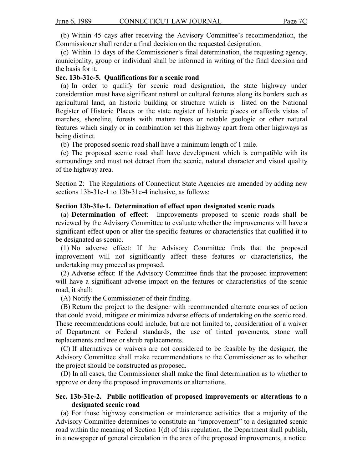(b) Within 45 days after receiving the Advisory Committee's recommendation, the Commissioner shall render a final decision on the requested designation.

(c) Within 15 days of the Commissioner's final determination, the requesting agency, municipality, group or individual shall be informed in writing of the final decision and the basis for it.

## **Sec. 13b-31c-5. Qualifications for a scenic road**

(a) In order to qualify for scenic road designation, the state highway under consideration must have significant natural or cultural features along its borders such as agricultural land, an historic building or structure which is listed on the National Register of Historic Places or the state register of historic places or affords vistas of marches, shoreline, forests with mature trees or notable geologic or other natural features which singly or in combination set this highway apart from other highways as being distinct.

(b) The proposed scenic road shall have a minimum length of 1 mile.

(c) The proposed scenic road shall have development which is compatible with its surroundings and must not detract from the scenic, natural character and visual quality of the highway area.

Section 2: The Regulations of Connecticut State Agencies are amended by adding new sections 13b-31e-1 to 13b-31e-4 inclusive, as follows:

## **Section 13b-31e-1. Determination of effect upon designated scenic roads**

(a) **Determination of effect**: Improvements proposed to scenic roads shall be reviewed by the Advisory Committee to evaluate whether the improvements will have a significant effect upon or alter the specific features or characteristics that qualified it to be designated as scenic.

(1) No adverse effect: If the Advisory Committee finds that the proposed improvement will not significantly affect these features or characteristics, the undertaking may proceed as proposed.

(2) Adverse effect: If the Advisory Committee finds that the proposed improvement will have a significant adverse impact on the features or characteristics of the scenic road, it shall:

(A) Notify the Commissioner of their finding.

(B) Return the project to the designer with recommended alternate courses of action that could avoid, mitigate or minimize adverse effects of undertaking on the scenic road. These recommendations could include, but are not limited to, consideration of a waiver of Department or Federal standards, the use of tinted pavements, stone wall replacements and tree or shrub replacements.

(C) If alternatives or waivers are not considered to be feasible by the designer, the Advisory Committee shall make recommendations to the Commissioner as to whether the project should be constructed as proposed.

(D) In all cases, the Commissioner shall make the final determination as to whether to approve or deny the proposed improvements or alternations.

# **Sec. 13b-31e-2. Public notification of proposed improvements or alterations to a designated scenic road**

(a) For those highway construction or maintenance activities that a majority of the Advisory Committee determines to constitute an "improvement" to a designated scenic road within the meaning of Section 1(d) of this regulation, the Department shall publish, in a newspaper of general circulation in the area of the proposed improvements, a notice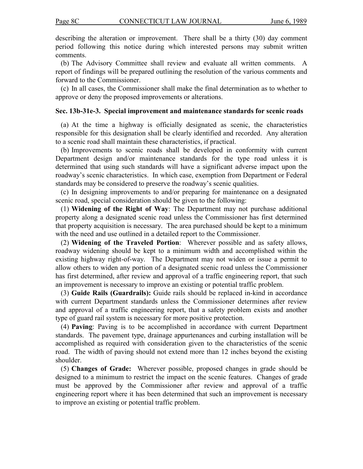describing the alteration or improvement. There shall be a thirty (30) day comment period following this notice during which interested persons may submit written comments.

(b) The Advisory Committee shall review and evaluate all written comments. A report of findings will be prepared outlining the resolution of the various comments and forward to the Commissioner.

(c) In all cases, the Commissioner shall make the final determination as to whether to approve or deny the proposed improvements or alterations.

# **Sec. 13b-31e-3. Special improvement and maintenance standards for scenic roads**

(a) At the time a highway is officially designated as scenic, the characteristics responsible for this designation shall be clearly identified and recorded. Any alteration to a scenic road shall maintain these characteristics, if practical.

(b) Improvements to scenic roads shall be developed in conformity with current Department design and/or maintenance standards for the type road unless it is determined that using such standards will have a significant adverse impact upon the roadway's scenic characteristics. In which case, exemption from Department or Federal standards may be considered to preserve the roadway's scenic qualities.

(c) In designing improvements to and/or preparing for maintenance on a designated scenic road, special consideration should be given to the following:

(1) **Widening of the Right of Way**: The Department may not purchase additional property along a designated scenic road unless the Commissioner has first determined that property acquisition is necessary. The area purchased should be kept to a minimum with the need and use outlined in a detailed report to the Commissioner.

(2) **Widening of the Traveled Portion**: Wherever possible and as safety allows, roadway widening should be kept to a minimum width and accomplished within the existing highway right-of-way. The Department may not widen or issue a permit to allow others to widen any portion of a designated scenic road unless the Commissioner has first determined, after review and approval of a traffic engineering report, that such an improvement is necessary to improve an existing or potential traffic problem.

(3) **Guide Rails (Guardrails):** Guide rails should be replaced in-kind in accordance with current Department standards unless the Commissioner determines after review and approval of a traffic engineering report, that a safety problem exists and another type of guard rail system is necessary for more positive protection.

(4) **Paving**: Paving is to be accomplished in accordance with current Department standards. The pavement type, drainage appurtenances and curbing installation will be accomplished as required with consideration given to the characteristics of the scenic road. The width of paving should not extend more than 12 inches beyond the existing shoulder.

(5) **Changes of Grade:** Wherever possible, proposed changes in grade should be designed to a minimum to restrict the impact on the scenic features. Changes of grade must be approved by the Commissioner after review and approval of a traffic engineering report where it has been determined that such an improvement is necessary to improve an existing or potential traffic problem.